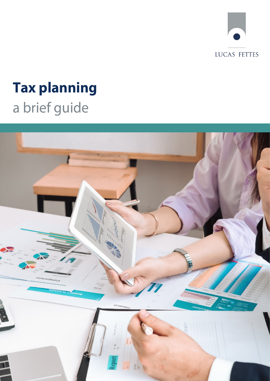

# **Tax planning**  a brief guide

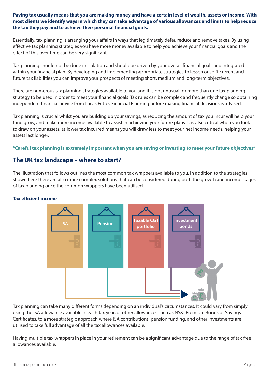#### **Paying tax usually means that you are making money and have a certain level of wealth, assets or income. With most clients we identify ways in which they can take advantage of various allowances and limits to help reduce the tax they pay and to achieve their personal financial goals.**

Essentially, tax planning is arranging your affairs in ways that legitimately defer, reduce and remove taxes. By using effective tax planning strategies you have more money available to help you achieve your financial goals and the effect of this over time can be very significant.

Tax planning should not be done in isolation and should be driven by your overall financial goals and integrated within your financial plan. By developing and implementing appropriate strategies to lessen or shift current and future tax liabilities you can improve your prospects of meeting short, medium and long-term objectives.

There are numerous tax planning strategies available to you and it is not unusual for more than one tax planning strategy to be used in order to meet your financial goals. Tax rules can be complex and frequently change so obtaining independent financial advice from Lucas Fettes Financial Planning before making financial decisions is advised.

Tax planning is crucial whilst you are building up your savings, as reducing the amount of tax you incur will help your fund grow, and make more income available to assist in achieving your future plans. It is also critical when you look to draw on your assets, as lower tax incurred means you will draw less to meet your net income needs, helping your assets last longer.

#### **"Careful tax planning is extremely important when you are saving or investing to meet your future objectives"**

### **The UK tax landscape – where to start?**

The illustration that follows outlines the most common tax wrappers available to you. In addition to the strategies shown here there are also more complex solutions that can be considered during both the growth and income stages of tax planning once the common wrappers have been utilised.

#### **Tax efficient income**



Tax planning can take many different forms depending on an individual's circumstances. It could vary from simply using the ISA allowance available in each tax year, or other allowances such as NS&I Premium Bonds or Savings Certificates, to a more strategic approach where ISA contributions, pension funding, and other investments are utilised to take full advantage of all the tax allowances available.

Having multiple tax wrappers in place in your retirement can be a significant advantage due to the range of tax free allowances available.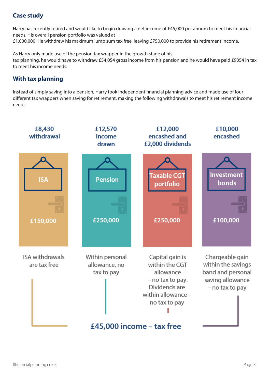# **Case study**

Harry has recently retired and would like to begin drawing a net income of £45,000 per annum to meet his financial needs. His overall pension portfolio was valued at £1,000,000. He withdrew his maximum lump sum tax free, leaving £750,000 to provide his retirement income.

As Harry only made use of the pension tax wrapper in the growth stage of his tax planning, he would have to withdraw £54,054 gross income from his pension and he would have paid £9054 in tax to meet his income needs.

## **With tax planning**

Instead of simply saving into a pension, Harry took independent financial planning advice and made use of four different tax wrappers when saving for retirement, making the following withdrawals to meet his retirement income needs: